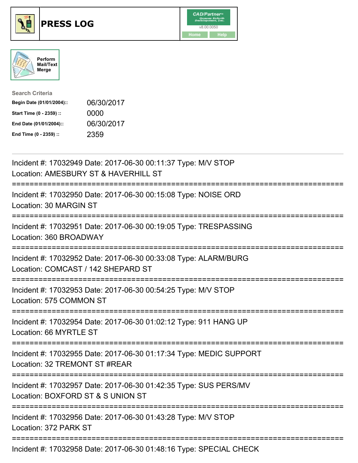





| <b>Search Criteria</b>    |            |
|---------------------------|------------|
| Begin Date (01/01/2004):: | 06/30/2017 |
| Start Time (0 - 2359) ::  | 0000       |
| End Date (01/01/2004)::   | 06/30/2017 |
| End Time (0 - 2359) ::    | 2359       |

| Incident #: 17032949 Date: 2017-06-30 00:11:37 Type: M/V STOP<br>Location: AMESBURY ST & HAVERHILL ST<br>--------                                   |
|-----------------------------------------------------------------------------------------------------------------------------------------------------|
| Incident #: 17032950 Date: 2017-06-30 00:15:08 Type: NOISE ORD<br>Location: 30 MARGIN ST<br>================                                        |
| Incident #: 17032951 Date: 2017-06-30 00:19:05 Type: TRESPASSING<br>Location: 360 BROADWAY<br>---------------                                       |
| Incident #: 17032952 Date: 2017-06-30 00:33:08 Type: ALARM/BURG<br>Location: COMCAST / 142 SHEPARD ST<br>------------<br>:========================= |
| Incident #: 17032953 Date: 2017-06-30 00:54:25 Type: M/V STOP<br>Location: 575 COMMON ST                                                            |
| Incident #: 17032954 Date: 2017-06-30 01:02:12 Type: 911 HANG UP<br>Location: 66 MYRTLE ST                                                          |
| Incident #: 17032955 Date: 2017-06-30 01:17:34 Type: MEDIC SUPPORT<br>Location: 32 TREMONT ST #REAR                                                 |
| Incident #: 17032957 Date: 2017-06-30 01:42:35 Type: SUS PERS/MV<br>Location: BOXFORD ST & S UNION ST<br>===========================                |
| Incident #: 17032956 Date: 2017-06-30 01:43:28 Type: M/V STOP<br>Location: 372 PARK ST                                                              |
| Incident #: 17032958 Date: 2017-06-30 01:48:16 Type: SPECIAL CHECK                                                                                  |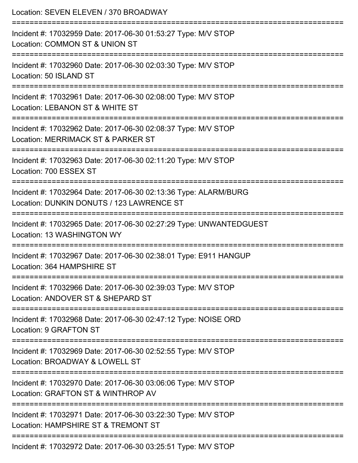| Location: SEVEN ELEVEN / 370 BROADWAY                                                                                   |
|-------------------------------------------------------------------------------------------------------------------------|
| Incident #: 17032959 Date: 2017-06-30 01:53:27 Type: M/V STOP<br>Location: COMMON ST & UNION ST<br>-------------------- |
| Incident #: 17032960 Date: 2017-06-30 02:03:30 Type: M/V STOP<br>Location: 50 ISLAND ST                                 |
| Incident #: 17032961 Date: 2017-06-30 02:08:00 Type: M/V STOP<br>Location: LEBANON ST & WHITE ST                        |
| Incident #: 17032962 Date: 2017-06-30 02:08:37 Type: M/V STOP<br>Location: MERRIMACK ST & PARKER ST                     |
| Incident #: 17032963 Date: 2017-06-30 02:11:20 Type: M/V STOP<br>Location: 700 ESSEX ST                                 |
| Incident #: 17032964 Date: 2017-06-30 02:13:36 Type: ALARM/BURG<br>Location: DUNKIN DONUTS / 123 LAWRENCE ST            |
| Incident #: 17032965 Date: 2017-06-30 02:27:29 Type: UNWANTEDGUEST<br>Location: 13 WASHINGTON WY                        |
| Incident #: 17032967 Date: 2017-06-30 02:38:01 Type: E911 HANGUP<br>Location: 364 HAMPSHIRE ST                          |
| Incident #: 17032966 Date: 2017-06-30 02:39:03 Type: M/V STOP<br>Location: ANDOVER ST & SHEPARD ST                      |
| Incident #: 17032968 Date: 2017-06-30 02:47:12 Type: NOISE ORD<br>Location: 9 GRAFTON ST                                |
| Incident #: 17032969 Date: 2017-06-30 02:52:55 Type: M/V STOP<br>Location: BROADWAY & LOWELL ST                         |
| Incident #: 17032970 Date: 2017-06-30 03:06:06 Type: M/V STOP<br>Location: GRAFTON ST & WINTHROP AV                     |
| Incident #: 17032971 Date: 2017-06-30 03:22:30 Type: M/V STOP<br>Location: HAMPSHIRE ST & TREMONT ST                    |
| Incident #: 17032972 Date: 2017-06-30 03:25:51 Type: M/V STOP                                                           |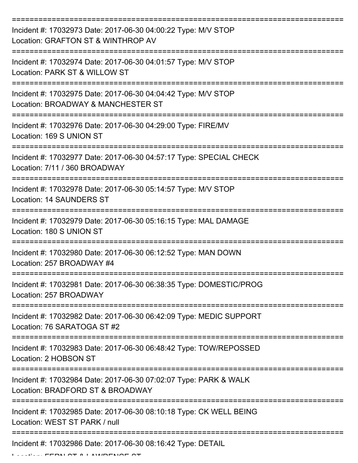| Incident #: 17032973 Date: 2017-06-30 04:00:22 Type: M/V STOP<br>Location: GRAFTON ST & WINTHROP AV  |
|------------------------------------------------------------------------------------------------------|
| Incident #: 17032974 Date: 2017-06-30 04:01:57 Type: M/V STOP<br>Location: PARK ST & WILLOW ST       |
| Incident #: 17032975 Date: 2017-06-30 04:04:42 Type: M/V STOP<br>Location: BROADWAY & MANCHESTER ST  |
| Incident #: 17032976 Date: 2017-06-30 04:29:00 Type: FIRE/MV<br>Location: 169 S UNION ST             |
| Incident #: 17032977 Date: 2017-06-30 04:57:17 Type: SPECIAL CHECK<br>Location: 7/11 / 360 BROADWAY  |
| Incident #: 17032978 Date: 2017-06-30 05:14:57 Type: M/V STOP<br><b>Location: 14 SAUNDERS ST</b>     |
| Incident #: 17032979 Date: 2017-06-30 05:16:15 Type: MAL DAMAGE<br>Location: 180 S UNION ST          |
| Incident #: 17032980 Date: 2017-06-30 06:12:52 Type: MAN DOWN<br>Location: 257 BROADWAY #4           |
| Incident #: 17032981 Date: 2017-06-30 06:38:35 Type: DOMESTIC/PROG<br>Location: 257 BROADWAY         |
| Incident #: 17032982 Date: 2017-06-30 06:42:09 Type: MEDIC SUPPORT<br>Location: 76 SARATOGA ST #2    |
| Incident #: 17032983 Date: 2017-06-30 06:48:42 Type: TOW/REPOSSED<br>Location: 2 HOBSON ST           |
| Incident #: 17032984 Date: 2017-06-30 07:02:07 Type: PARK & WALK<br>Location: BRADFORD ST & BROADWAY |
| Incident #: 17032985 Date: 2017-06-30 08:10:18 Type: CK WELL BEING<br>Location: WEST ST PARK / null  |
| ===================================<br>Incident #: 17032986 Date: 2017-06-30 08:16:42 Type: DETAIL   |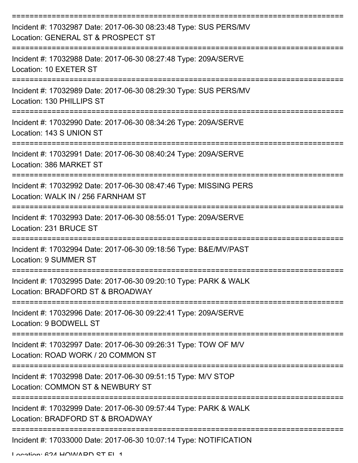| Incident #: 17032987 Date: 2017-06-30 08:23:48 Type: SUS PERS/MV<br>Location: GENERAL ST & PROSPECT ST  |
|---------------------------------------------------------------------------------------------------------|
| Incident #: 17032988 Date: 2017-06-30 08:27:48 Type: 209A/SERVE<br>Location: 10 EXETER ST               |
| Incident #: 17032989 Date: 2017-06-30 08:29:30 Type: SUS PERS/MV<br>Location: 130 PHILLIPS ST           |
| Incident #: 17032990 Date: 2017-06-30 08:34:26 Type: 209A/SERVE<br>Location: 143 S UNION ST             |
| Incident #: 17032991 Date: 2017-06-30 08:40:24 Type: 209A/SERVE<br>Location: 386 MARKET ST              |
| Incident #: 17032992 Date: 2017-06-30 08:47:46 Type: MISSING PERS<br>Location: WALK IN / 256 FARNHAM ST |
| Incident #: 17032993 Date: 2017-06-30 08:55:01 Type: 209A/SERVE<br>Location: 231 BRUCE ST               |
| Incident #: 17032994 Date: 2017-06-30 09:18:56 Type: B&E/MV/PAST<br>Location: 9 SUMMER ST               |
| Incident #: 17032995 Date: 2017-06-30 09:20:10 Type: PARK & WALK<br>Location: BRADFORD ST & BROADWAY    |
| Incident #: 17032996 Date: 2017-06-30 09:22:41 Type: 209A/SERVE<br>Location: 9 BODWELL ST               |
| Incident #: 17032997 Date: 2017-06-30 09:26:31 Type: TOW OF M/V<br>Location: ROAD WORK / 20 COMMON ST   |
| Incident #: 17032998 Date: 2017-06-30 09:51:15 Type: M/V STOP<br>Location: COMMON ST & NEWBURY ST       |
| Incident #: 17032999 Date: 2017-06-30 09:57:44 Type: PARK & WALK<br>Location: BRADFORD ST & BROADWAY    |
| --------------------------<br>Incident #: 17033000 Date: 2017-06-30 10:07:14 Type: NOTIFICATION         |

Location: 624 HOWARD ST EL 1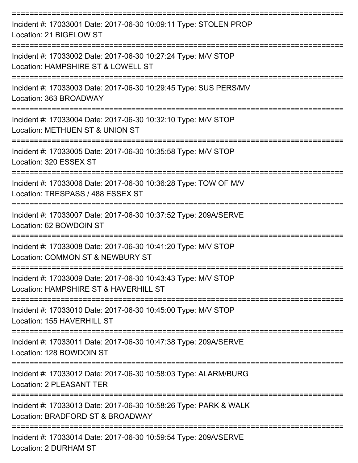| Incident #: 17033001 Date: 2017-06-30 10:09:11 Type: STOLEN PROP<br>Location: 21 BIGELOW ST            |
|--------------------------------------------------------------------------------------------------------|
| Incident #: 17033002 Date: 2017-06-30 10:27:24 Type: M/V STOP<br>Location: HAMPSHIRE ST & LOWELL ST    |
| Incident #: 17033003 Date: 2017-06-30 10:29:45 Type: SUS PERS/MV<br>Location: 363 BROADWAY             |
| Incident #: 17033004 Date: 2017-06-30 10:32:10 Type: M/V STOP<br>Location: METHUEN ST & UNION ST       |
| Incident #: 17033005 Date: 2017-06-30 10:35:58 Type: M/V STOP<br>Location: 320 ESSEX ST                |
| Incident #: 17033006 Date: 2017-06-30 10:36:28 Type: TOW OF M/V<br>Location: TRESPASS / 488 ESSEX ST   |
| Incident #: 17033007 Date: 2017-06-30 10:37:52 Type: 209A/SERVE<br>Location: 62 BOWDOIN ST             |
| Incident #: 17033008 Date: 2017-06-30 10:41:20 Type: M/V STOP<br>Location: COMMON ST & NEWBURY ST      |
| Incident #: 17033009 Date: 2017-06-30 10:43:43 Type: M/V STOP<br>Location: HAMPSHIRE ST & HAVERHILL ST |
| Incident #: 17033010 Date: 2017-06-30 10:45:00 Type: M/V STOP<br>Location: 155 HAVERHILL ST            |
| Incident #: 17033011 Date: 2017-06-30 10:47:38 Type: 209A/SERVE<br>Location: 128 BOWDOIN ST            |
| Incident #: 17033012 Date: 2017-06-30 10:58:03 Type: ALARM/BURG<br>Location: 2 PLEASANT TER            |
| Incident #: 17033013 Date: 2017-06-30 10:58:26 Type: PARK & WALK<br>Location: BRADFORD ST & BROADWAY   |
| Incident #: 17033014 Date: 2017-06-30 10:59:54 Type: 209A/SERVE                                        |

Location: 2 DURHAM ST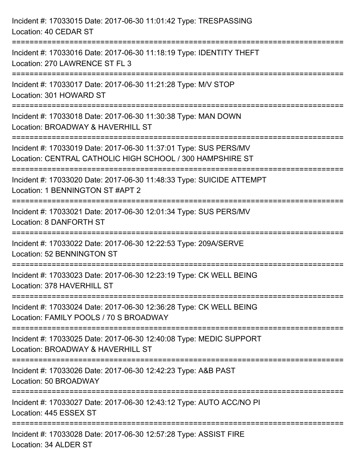| Incident #: 17033015 Date: 2017-06-30 11:01:42 Type: TRESPASSING<br>Location: 40 CEDAR ST                                                                       |
|-----------------------------------------------------------------------------------------------------------------------------------------------------------------|
| Incident #: 17033016 Date: 2017-06-30 11:18:19 Type: IDENTITY THEFT<br>Location: 270 LAWRENCE ST FL 3                                                           |
| Incident #: 17033017 Date: 2017-06-30 11:21:28 Type: M/V STOP<br>Location: 301 HOWARD ST                                                                        |
| Incident #: 17033018 Date: 2017-06-30 11:30:38 Type: MAN DOWN<br>Location: BROADWAY & HAVERHILL ST                                                              |
| Incident #: 17033019 Date: 2017-06-30 11:37:01 Type: SUS PERS/MV<br>Location: CENTRAL CATHOLIC HIGH SCHOOL / 300 HAMPSHIRE ST<br>============================== |
| Incident #: 17033020 Date: 2017-06-30 11:48:33 Type: SUICIDE ATTEMPT<br>Location: 1 BENNINGTON ST #APT 2                                                        |
| Incident #: 17033021 Date: 2017-06-30 12:01:34 Type: SUS PERS/MV<br>Location: 8 DANFORTH ST                                                                     |
| Incident #: 17033022 Date: 2017-06-30 12:22:53 Type: 209A/SERVE<br>Location: 52 BENNINGTON ST                                                                   |
| Incident #: 17033023 Date: 2017-06-30 12:23:19 Type: CK WELL BEING<br>Location: 378 HAVERHILL ST                                                                |
| Incident #: 17033024 Date: 2017-06-30 12:36:28 Type: CK WELL BEING<br>Location: FAMILY POOLS / 70 S BROADWAY                                                    |
| Incident #: 17033025 Date: 2017-06-30 12:40:08 Type: MEDIC SUPPORT<br>Location: BROADWAY & HAVERHILL ST                                                         |
| Incident #: 17033026 Date: 2017-06-30 12:42:23 Type: A&B PAST<br>Location: 50 BROADWAY                                                                          |
| Incident #: 17033027 Date: 2017-06-30 12:43:12 Type: AUTO ACC/NO PI<br>Location: 445 ESSEX ST                                                                   |
| Incident #: 17033028 Date: 2017-06-30 12:57:28 Type: ASSIST FIRE<br>Location: 34 ALDER ST                                                                       |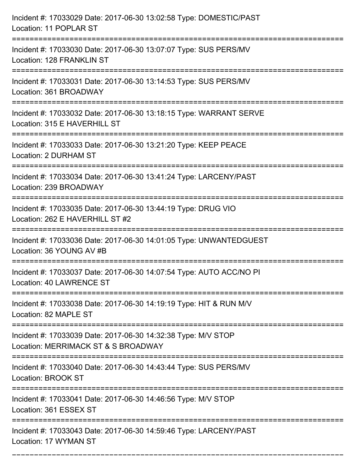| Incident #: 17033029 Date: 2017-06-30 13:02:58 Type: DOMESTIC/PAST<br>Location: 11 POPLAR ST                                |
|-----------------------------------------------------------------------------------------------------------------------------|
| Incident #: 17033030 Date: 2017-06-30 13:07:07 Type: SUS PERS/MV<br>Location: 128 FRANKLIN ST                               |
| Incident #: 17033031 Date: 2017-06-30 13:14:53 Type: SUS PERS/MV<br>Location: 361 BROADWAY                                  |
| Incident #: 17033032 Date: 2017-06-30 13:18:15 Type: WARRANT SERVE<br>Location: 315 E HAVERHILL ST                          |
| Incident #: 17033033 Date: 2017-06-30 13:21:20 Type: KEEP PEACE<br>Location: 2 DURHAM ST                                    |
| Incident #: 17033034 Date: 2017-06-30 13:41:24 Type: LARCENY/PAST<br>Location: 239 BROADWAY                                 |
| Incident #: 17033035 Date: 2017-06-30 13:44:19 Type: DRUG VIO<br>Location: 262 E HAVERHILL ST #2                            |
| Incident #: 17033036 Date: 2017-06-30 14:01:05 Type: UNWANTEDGUEST<br>Location: 36 YOUNG AV #B                              |
| Incident #: 17033037 Date: 2017-06-30 14:07:54 Type: AUTO ACC/NO PI<br>Location: 40 LAWRENCE ST                             |
| Incident #: 17033038 Date: 2017-06-30 14:19:19 Type: HIT & RUN M/V<br>Location: 82 MAPLE ST                                 |
| Incident #: 17033039 Date: 2017-06-30 14:32:38 Type: M/V STOP<br>Location: MERRIMACK ST & S BROADWAY                        |
| Incident #: 17033040 Date: 2017-06-30 14:43:44 Type: SUS PERS/MV<br><b>Location: BROOK ST</b><br>-------------------------- |
| Incident #: 17033041 Date: 2017-06-30 14:46:56 Type: M/V STOP<br>Location: 361 ESSEX ST                                     |
| Incident #: 17033043 Date: 2017-06-30 14:59:46 Type: LARCENY/PAST<br>Location: 17 WYMAN ST                                  |

===========================================================================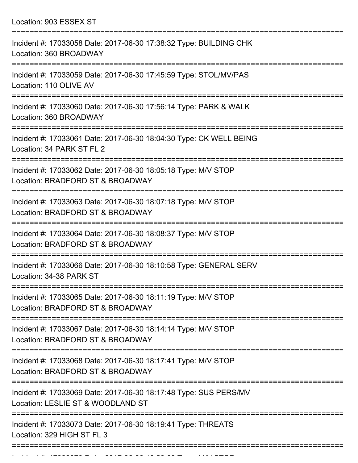| Location: 903 ESSEX ST |  |  |
|------------------------|--|--|
|                        |  |  |

| Incident #: 17033058 Date: 2017-06-30 17:38:32 Type: BUILDING CHK<br>Location: 360 BROADWAY           |
|-------------------------------------------------------------------------------------------------------|
| Incident #: 17033059 Date: 2017-06-30 17:45:59 Type: STOL/MV/PAS<br>Location: 110 OLIVE AV            |
| Incident #: 17033060 Date: 2017-06-30 17:56:14 Type: PARK & WALK<br>Location: 360 BROADWAY            |
| Incident #: 17033061 Date: 2017-06-30 18:04:30 Type: CK WELL BEING<br>Location: 34 PARK ST FL 2       |
| Incident #: 17033062 Date: 2017-06-30 18:05:18 Type: M/V STOP<br>Location: BRADFORD ST & BROADWAY     |
| Incident #: 17033063 Date: 2017-06-30 18:07:18 Type: M/V STOP<br>Location: BRADFORD ST & BROADWAY     |
| Incident #: 17033064 Date: 2017-06-30 18:08:37 Type: M/V STOP<br>Location: BRADFORD ST & BROADWAY     |
| Incident #: 17033066 Date: 2017-06-30 18:10:58 Type: GENERAL SERV<br>Location: 34-38 PARK ST          |
| Incident #: 17033065 Date: 2017-06-30 18:11:19 Type: M/V STOP<br>Location: BRADFORD ST & BROADWAY     |
| Incident #: 17033067 Date: 2017-06-30 18:14:14 Type: M/V STOP<br>Location: BRADFORD ST & BROADWAY     |
| Incident #: 17033068 Date: 2017-06-30 18:17:41 Type: M/V STOP<br>Location: BRADFORD ST & BROADWAY     |
| Incident #: 17033069 Date: 2017-06-30 18:17:48 Type: SUS PERS/MV<br>Location: LESLIE ST & WOODLAND ST |
| Incident #: 17033073 Date: 2017-06-30 18:19:41 Type: THREATS<br>Location: 329 HIGH ST FL 3            |
|                                                                                                       |

Incident #: 17033070 Date: 2017 06 30 18:20:08 Type: M/V STOP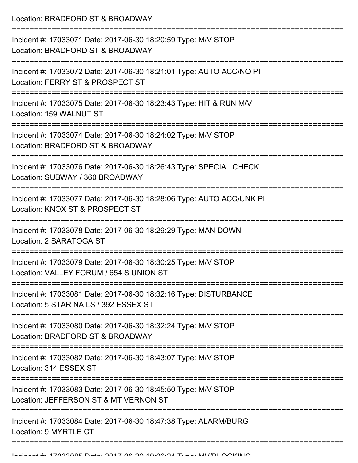Location: BRADFORD ST & BROADWAY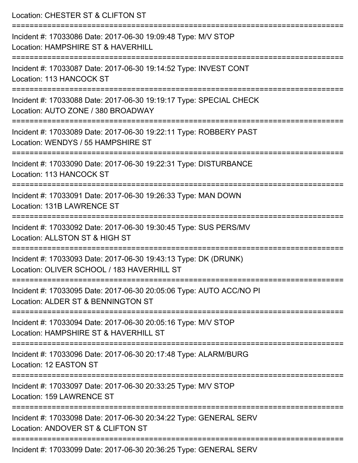| Location: CHESTER ST & CLIFTON ST                                                                                             |
|-------------------------------------------------------------------------------------------------------------------------------|
| Incident #: 17033086 Date: 2017-06-30 19:09:48 Type: M/V STOP<br>Location: HAMPSHIRE ST & HAVERHILL<br>:===================== |
| Incident #: 17033087 Date: 2017-06-30 19:14:52 Type: INVEST CONT<br>Location: 113 HANCOCK ST                                  |
| Incident #: 17033088 Date: 2017-06-30 19:19:17 Type: SPECIAL CHECK<br>Location: AUTO ZONE / 380 BROADWAY                      |
| Incident #: 17033089 Date: 2017-06-30 19:22:11 Type: ROBBERY PAST<br>Location: WENDYS / 55 HAMPSHIRE ST                       |
| Incident #: 17033090 Date: 2017-06-30 19:22:31 Type: DISTURBANCE<br>Location: 113 HANCOCK ST                                  |
| Incident #: 17033091 Date: 2017-06-30 19:26:33 Type: MAN DOWN<br>Location: 131B LAWRENCE ST                                   |
| Incident #: 17033092 Date: 2017-06-30 19:30:45 Type: SUS PERS/MV<br>Location: ALLSTON ST & HIGH ST                            |
| Incident #: 17033093 Date: 2017-06-30 19:43:13 Type: DK (DRUNK)<br>Location: OLIVER SCHOOL / 183 HAVERHILL ST                 |
| Incident #: 17033095 Date: 2017-06-30 20:05:06 Type: AUTO ACC/NO PI<br>Location: ALDER ST & BENNINGTON ST                     |
| Incident #: 17033094 Date: 2017-06-30 20:05:16 Type: M/V STOP<br>Location: HAMPSHIRE ST & HAVERHILL ST                        |
| Incident #: 17033096 Date: 2017-06-30 20:17:48 Type: ALARM/BURG<br>Location: 12 EASTON ST                                     |
| Incident #: 17033097 Date: 2017-06-30 20:33:25 Type: M/V STOP<br>Location: 159 LAWRENCE ST                                    |
| Incident #: 17033098 Date: 2017-06-30 20:34:22 Type: GENERAL SERV<br>Location: ANDOVER ST & CLIFTON ST                        |
| Incident #: 17033099 Date: 2017-06-30 20:36:25 Type: GENERAL SERV                                                             |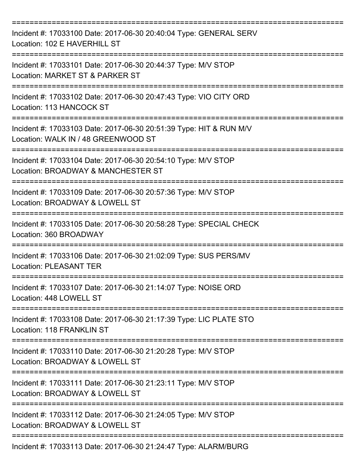| Incident #: 17033100 Date: 2017-06-30 20:40:04 Type: GENERAL SERV<br>Location: 102 E HAVERHILL ST                            |
|------------------------------------------------------------------------------------------------------------------------------|
| Incident #: 17033101 Date: 2017-06-30 20:44:37 Type: M/V STOP<br>Location: MARKET ST & PARKER ST                             |
| Incident #: 17033102 Date: 2017-06-30 20:47:43 Type: VIO CITY ORD<br>Location: 113 HANCOCK ST                                |
| Incident #: 17033103 Date: 2017-06-30 20:51:39 Type: HIT & RUN M/V<br>Location: WALK IN / 48 GREENWOOD ST                    |
| Incident #: 17033104 Date: 2017-06-30 20:54:10 Type: M/V STOP<br>Location: BROADWAY & MANCHESTER ST<br>:==================== |
| Incident #: 17033109 Date: 2017-06-30 20:57:36 Type: M/V STOP<br>Location: BROADWAY & LOWELL ST                              |
| Incident #: 17033105 Date: 2017-06-30 20:58:28 Type: SPECIAL CHECK<br>Location: 360 BROADWAY                                 |
| Incident #: 17033106 Date: 2017-06-30 21:02:09 Type: SUS PERS/MV<br><b>Location: PLEASANT TER</b>                            |
| Incident #: 17033107 Date: 2017-06-30 21:14:07 Type: NOISE ORD<br>Location: 448 LOWELL ST                                    |
| Incident #: 17033108 Date: 2017-06-30 21:17:39 Type: LIC PLATE STO<br>Location: 118 FRANKLIN ST                              |
| Incident #: 17033110 Date: 2017-06-30 21:20:28 Type: M/V STOP<br>Location: BROADWAY & LOWELL ST                              |
| Incident #: 17033111 Date: 2017-06-30 21:23:11 Type: M/V STOP<br>Location: BROADWAY & LOWELL ST                              |
| Incident #: 17033112 Date: 2017-06-30 21:24:05 Type: M/V STOP<br>Location: BROADWAY & LOWELL ST                              |
| Incident #: 17033113 Date: 2017-06-30 21:24:47 Type: ALARM/BURG                                                              |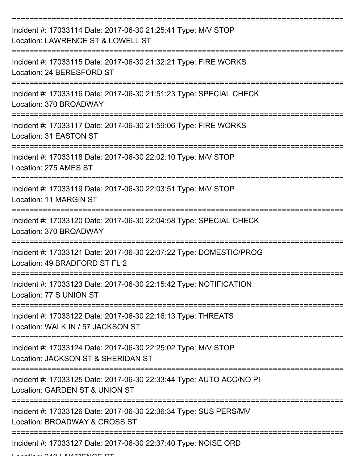| Incident #: 17033114 Date: 2017-06-30 21:25:41 Type: M/V STOP<br>Location: LAWRENCE ST & LOWELL ST                         |
|----------------------------------------------------------------------------------------------------------------------------|
| Incident #: 17033115 Date: 2017-06-30 21:32:21 Type: FIRE WORKS<br>Location: 24 BERESFORD ST                               |
| Incident #: 17033116 Date: 2017-06-30 21:51:23 Type: SPECIAL CHECK<br>Location: 370 BROADWAY                               |
| Incident #: 17033117 Date: 2017-06-30 21:59:06 Type: FIRE WORKS<br>Location: 31 EASTON ST                                  |
| Incident #: 17033118 Date: 2017-06-30 22:02:10 Type: M/V STOP<br>Location: 275 AMES ST                                     |
| Incident #: 17033119 Date: 2017-06-30 22:03:51 Type: M/V STOP<br>Location: 11 MARGIN ST                                    |
| Incident #: 17033120 Date: 2017-06-30 22:04:58 Type: SPECIAL CHECK<br>Location: 370 BROADWAY                               |
| Incident #: 17033121 Date: 2017-06-30 22:07:22 Type: DOMESTIC/PROG<br>Location: 49 BRADFORD ST FL 2                        |
| Incident #: 17033123 Date: 2017-06-30 22:15:42 Type: NOTIFICATION<br>Location: 77 S UNION ST                               |
| =====================<br>Incident #: 17033122 Date: 2017-06-30 22:16:13 Type: THREATS<br>Location: WALK IN / 57 JACKSON ST |
| Incident #: 17033124 Date: 2017-06-30 22:25:02 Type: M/V STOP<br>Location: JACKSON ST & SHERIDAN ST                        |
| Incident #: 17033125 Date: 2017-06-30 22:33:44 Type: AUTO ACC/NO PI<br>Location: GARDEN ST & UNION ST                      |
| Incident #: 17033126 Date: 2017-06-30 22:36:34 Type: SUS PERS/MV<br>Location: BROADWAY & CROSS ST                          |
| Incident #: 17033127 Date: 2017-06-30 22:37:40 Type: NOISE ORD                                                             |